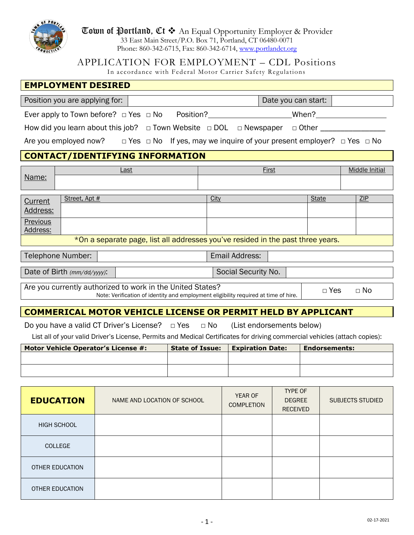

**Town of Portland, Ct**  $\triangleleft$  An Equal Opportunity Employer & Provider 33 East Main Street/P.O. Box 71, Portland, CT 06480-0071 Phone: 860-342-6715, Fax: 860-342-6714, [www.portlandct.org](http://www.portlandct.org/)

APPLICATION FOR EMPLOYMENT – CDL Positions

In accordance with Federal Motor Carrier Safety Regulations

| <b>EMPLOYMENT DESIRED</b>                                                                                                                                                    |  |  |  |
|------------------------------------------------------------------------------------------------------------------------------------------------------------------------------|--|--|--|
| Date you can start:<br>Position you are applying for:                                                                                                                        |  |  |  |
| Ever apply to Town before? $\Box$ Yes $\Box$ No Position?<br>When?                                                                                                           |  |  |  |
| How did you learn about this job? $\Box$ Town Website $\Box$ DOL $\Box$ Newspaper $\Box$ Other ___                                                                           |  |  |  |
| Are you employed now? $\Box$ Yes $\Box$ No If yes, may we inquire of your present employer? $\Box$ Yes $\Box$ No                                                             |  |  |  |
| <b>CONTACT/IDENTIFYING INFORMATION</b>                                                                                                                                       |  |  |  |
| <b>Middle Initial</b><br>First<br>Last                                                                                                                                       |  |  |  |
| Name:                                                                                                                                                                        |  |  |  |
| ZIP<br>Street, Apt #<br>City<br><b>State</b><br>Current                                                                                                                      |  |  |  |
| Address:                                                                                                                                                                     |  |  |  |
| Previous<br>Address:                                                                                                                                                         |  |  |  |
| *On a separate page, list all addresses you've resided in the past three years.                                                                                              |  |  |  |
| Email Address:<br>Telephone Number:                                                                                                                                          |  |  |  |
| Social Security No.<br>Date of Birth (mm/dd/yyyy):                                                                                                                           |  |  |  |
| Are you currently authorized to work in the United States?<br>$\Box$ Yes<br>$\Box$ No<br>Note: Verification of identity and employment eligibility required at time of hire. |  |  |  |
| <b>COMMERICAL MOTOR VEHICLE LICENSE OR PERMIT HELD BY APPLICANT</b>                                                                                                          |  |  |  |

Do you have a valid CT Driver's License? □ Yes □ No (List endorsements below)

List all of your valid Driver's License, Permits and Medical Certificates for driving commercial vehicles (attach copies):

| <b>Motor Vehicle Operator's License #:</b> | <b>State of Issue:</b> | <b>Expiration Date:</b> | <b>Endorsements:</b> |
|--------------------------------------------|------------------------|-------------------------|----------------------|
|                                            |                        |                         |                      |
|                                            |                        |                         |                      |
|                                            |                        |                         |                      |

| <b>EDUCATION</b>   | NAME AND LOCATION OF SCHOOL | YEAR OF<br><b>COMPLETION</b> | <b>TYPE OF</b><br><b>DEGREE</b><br><b>RECEIVED</b> | SUBJECTS STUDIED |
|--------------------|-----------------------------|------------------------------|----------------------------------------------------|------------------|
| <b>HIGH SCHOOL</b> |                             |                              |                                                    |                  |
| <b>COLLEGE</b>     |                             |                              |                                                    |                  |
| OTHER EDUCATION    |                             |                              |                                                    |                  |
| OTHER EDUCATION    |                             |                              |                                                    |                  |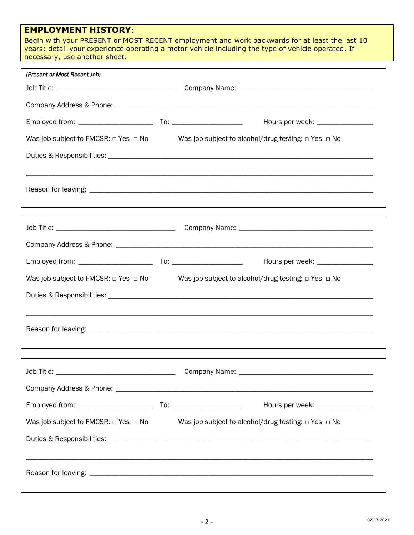# **EMPLOYMENT HISTORY**:

Begin with your PRESENT or MOST RECENT employment and work backwards for at least the last 10 years; detail your experience operating a motor vehicle including the type of vehicle operated. If necessary, use another sheet.

| (Present or Most Recent Job)                   |                                                               |
|------------------------------------------------|---------------------------------------------------------------|
|                                                |                                                               |
|                                                |                                                               |
|                                                |                                                               |
| Was job subject to FMCSR: $\Box$ Yes $\Box$ No | Was job subject to alcohol/drug testing: $\Box$ Yes $\Box$ No |
|                                                |                                                               |
|                                                |                                                               |
|                                                |                                                               |
|                                                |                                                               |
|                                                |                                                               |
|                                                |                                                               |
|                                                |                                                               |
| Was job subject to FMCSR: $\Box$ Yes $\Box$ No | Was job subject to alcohol/drug testing: $\Box$ Yes $\Box$ No |
|                                                |                                                               |
|                                                |                                                               |
|                                                |                                                               |
|                                                |                                                               |
|                                                |                                                               |
|                                                |                                                               |
|                                                | Hours per week: _________________                             |
| Was job subject to FMCSR: $\Box$ Yes $\Box$ No | Was job subject to alcohol/drug testing: $\Box$ Yes $\Box$ No |
|                                                |                                                               |
|                                                |                                                               |
|                                                |                                                               |
|                                                |                                                               |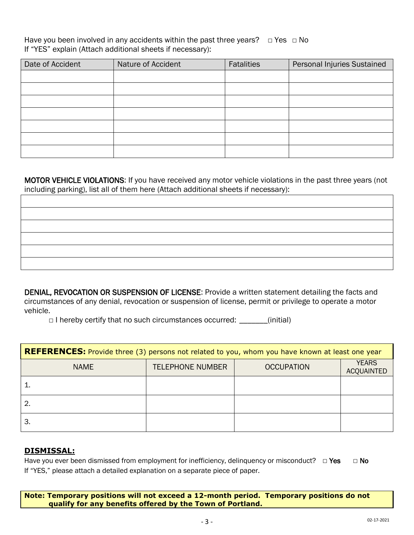Have you been involved in any accidents within the past three years?  $\Box$  Yes  $\Box$  No If "YES" explain (Attach additional sheets if necessary):

| Date of Accident | Nature of Accident | Fatalities | Personal Injuries Sustained |
|------------------|--------------------|------------|-----------------------------|
|                  |                    |            |                             |
|                  |                    |            |                             |
|                  |                    |            |                             |
|                  |                    |            |                             |
|                  |                    |            |                             |
|                  |                    |            |                             |
|                  |                    |            |                             |

MOTOR VEHICLE VIOLATIONS: If you have received any motor vehicle violations in the past three years (not including parking), list all of them here (Attach additional sheets if necessary):

DENIAL, REVOCATION OR SUSPENSION OF LICENSE: Provide a written statement detailing the facts and circumstances of any denial, revocation or suspension of license, permit or privilege to operate a motor vehicle.

 $\Box$  I hereby certify that no such circumstances occurred: \_\_\_\_\_\_(initial)

| <b>REFERENCES:</b> Provide three (3) persons not related to you, whom you have known at least one year |                         |                   |                                   |  |
|--------------------------------------------------------------------------------------------------------|-------------------------|-------------------|-----------------------------------|--|
| <b>NAME</b>                                                                                            | <b>TELEPHONE NUMBER</b> | <b>OCCUPATION</b> | <b>YEARS</b><br><b>ACQUAINTED</b> |  |
|                                                                                                        |                         |                   |                                   |  |
|                                                                                                        |                         |                   |                                   |  |
| З.                                                                                                     |                         |                   |                                   |  |

# **DISMISSAL:**

Have you ever been dismissed from employment for inefficiency, delinquency or misconduct? □ Yes □ No If "YES," please attach a detailed explanation on a separate piece of paper.

**Note: Temporary positions will not exceed a 12-month period. Temporary positions do not qualify for any benefits offered by the Town of Portland.**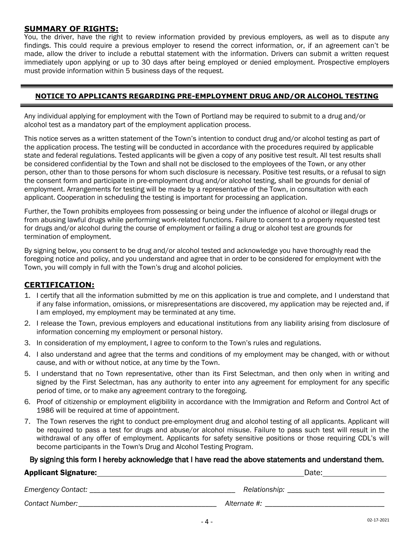# **SUMMARY OF RIGHTS:**

You, the driver, have the right to review information provided by previous employers, as well as to dispute any findings. This could require a previous employer to resend the correct information, or, if an agreement can't be made, allow the driver to include a rebuttal statement with the information. Drivers can submit a written request immediately upon applying or up to 30 days after being employed or denied employment. Prospective employers must provide information within 5 business days of the request.

### **NOTICE TO APPLICANTS REGARDING PRE-EMPLOYMENT DRUG AND/OR ALCOHOL TESTING**

Any individual applying for employment with the Town of Portland may be required to submit to a drug and/or alcohol test as a mandatory part of the employment application process.

This notice serves as a written statement of the Town's intention to conduct drug and/or alcohol testing as part of the application process. The testing will be conducted in accordance with the procedures required by applicable state and federal regulations. Tested applicants will be given a copy of any positive test result. All test results shall be considered confidential by the Town and shall not be disclosed to the employees of the Town, or any other person, other than to those persons for whom such disclosure is necessary. Positive test results, or a refusal to sign the consent form and participate in pre-employment drug and/or alcohol testing, shall be grounds for denial of employment. Arrangements for testing will be made by a representative of the Town, in consultation with each applicant. Cooperation in scheduling the testing is important for processing an application.

Further, the Town prohibits employees from possessing or being under the influence of alcohol or illegal drugs or from abusing lawful drugs while performing work-related functions. Failure to consent to a properly requested test for drugs and/or alcohol during the course of employment or failing a drug or alcohol test are grounds for termination of employment.

By signing below, you consent to be drug and/or alcohol tested and acknowledge you have thoroughly read the foregoing notice and policy, and you understand and agree that in order to be considered for employment with the Town, you will comply in full with the Town's drug and alcohol policies.

# **CERTIFICATION:**

- 1. I certify that all the information submitted by me on this application is true and complete, and I understand that if any false information, omissions, or misrepresentations are discovered, my application may be rejected and, if I am employed, my employment may be terminated at any time.
- 2. I release the Town, previous employers and educational institutions from any liability arising from disclosure of information concerning my employment or personal history.
- 3. In consideration of my employment, I agree to conform to the Town's rules and regulations.
- 4. I also understand and agree that the terms and conditions of my employment may be changed, with or without cause, and with or without notice, at any time by the Town.
- 5. I understand that no Town representative, other than its First Selectman, and then only when in writing and signed by the First Selectman, has any authority to enter into any agreement for employment for any specific period of time, or to make any agreement contrary to the foregoing.
- 6. Proof of citizenship or employment eligibility in accordance with the Immigration and Reform and Control Act of 1986 will be required at time of appointment.
- 7. The Town reserves the right to conduct pre-employment drug and alcohol testing of all applicants. Applicant will be required to pass a test for drugs and abuse/or alcohol misuse. Failure to pass such test will result in the withdrawal of any offer of employment. Applicants for safety sensitive positions or those requiring CDL's will become participants in the Town's Drug and Alcohol Testing Program.

#### By signing this form I hereby acknowledge that I have read the above statements and understand them.

- 4 -

#### Applicant Signature: **Date:** Date: Date: Date: Date: Date: Date: Date: Date: Date: Date: Date: Date: Date: Date: Date: Date: Date: Date: Date: Date: Date: Date: Date: Date: Date: Date: Date: Date: Date: Date: Date: Date: D

| י ח† בו<br>Dale. |
|------------------|
|                  |

*Emergency Contact: \_\_\_\_\_\_\_\_\_\_\_\_\_\_\_\_\_\_\_\_\_\_\_\_\_\_\_\_\_\_\_\_\_\_\_\_\_\_\_ Relationship: \_\_\_\_\_\_\_\_\_\_\_\_\_\_\_\_\_\_\_\_\_\_\_\_\_\_*

*Contact Number:\_\_\_\_\_\_\_\_\_\_\_\_\_\_\_\_\_\_\_\_\_\_\_\_\_\_\_\_\_\_\_\_\_\_\_\_\_ Alternate #: \_\_\_\_\_\_\_\_\_\_\_\_\_\_\_\_\_\_\_\_\_\_\_\_\_\_\_\_\_\_\_\_*